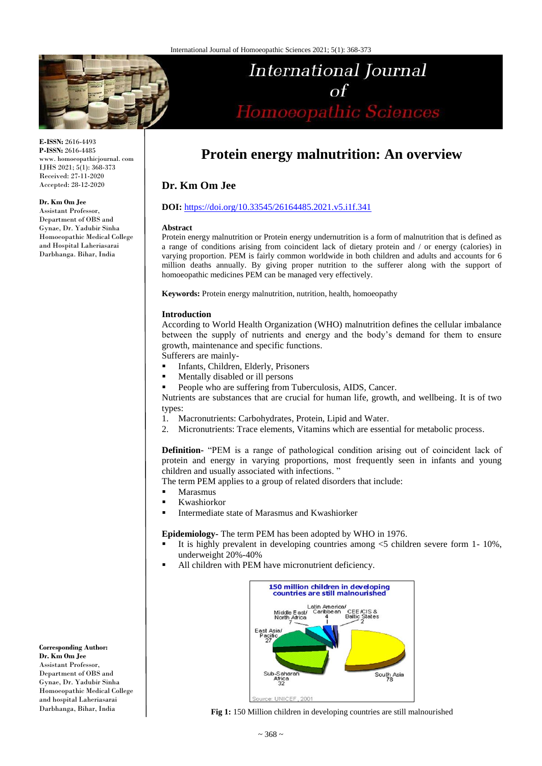

**E-ISSN:** 2616-4493 **P-ISSN:** 2616-4485 www. homoeopathicjournal. com IJHS 2021; 5(1): 368-373 Received: 27-11-2020 Accepted: 28-12-2020

#### **Dr. Km Om Jee**

Assistant Professor, Department of OBS and Gynae, Dr. Yadubir Sinha Homoeopathic Medical College and Hospital Laheriasarai Darbhanga. Bihar, India

# International Journal  $\Omega$ Homoeopathic Sciences

## **Protein energy malnutrition: An overview**

### **Dr. Km Om Jee**

#### **DOI:** <https://doi.org/10.33545/26164485.2021.v5.i1f.341>

#### **Abstract**

Protein energy malnutrition or Protein energy undernutrition is a form of malnutrition that is defined as a range of conditions arising from coincident lack of dietary protein and / or energy (calories) in varying proportion. PEM is fairly common worldwide in both children and adults and accounts for 6 million deaths annually. By giving proper nutrition to the sufferer along with the support of homoeopathic medicines PEM can be managed very effectively.

**Keywords:** Protein energy malnutrition, nutrition, health, homoeopathy

#### **Introduction**

According to World Health Organization (WHO) malnutrition defines the cellular imbalance between the supply of nutrients and energy and the body's demand for them to ensure growth, maintenance and specific functions.

Sufferers are mainly-

- Infants, Children, Elderly, Prisoners
- Mentally disabled or ill persons
- People who are suffering from Tuberculosis, AIDS, Cancer.

Nutrients are substances that are crucial for human life, growth, and wellbeing. It is of two types:

- 1. Macronutrients: Carbohydrates, Protein, Lipid and Water.
- 2. Micronutrients: Trace elements, Vitamins which are essential for metabolic process.

**Definition-** "PEM is a range of pathological condition arising out of coincident lack of protein and energy in varying proportions, most frequently seen in infants and young children and usually associated with infections. "

The term PEM applies to a group of related disorders that include:

- **Marasmus**
- Kwashiorkor
- Intermediate state of Marasmus and Kwashiorker

**Epidemiology-** The term PEM has been adopted by WHO in 1976.

- It is highly prevalent in developing countries among <5 children severe form 1- 10%, underweight 20%-40%
- All children with PEM have micronutrient deficiency.



**Fig 1:** 150 Million children in developing countries are still malnourished

**Corresponding Author: Dr. Km Om Jee** Assistant Professor, Department of OBS and Gynae, Dr. Yadubir Sinha Homoeopathic Medical College and hospital Laheriasarai Darbhanga, Bihar, India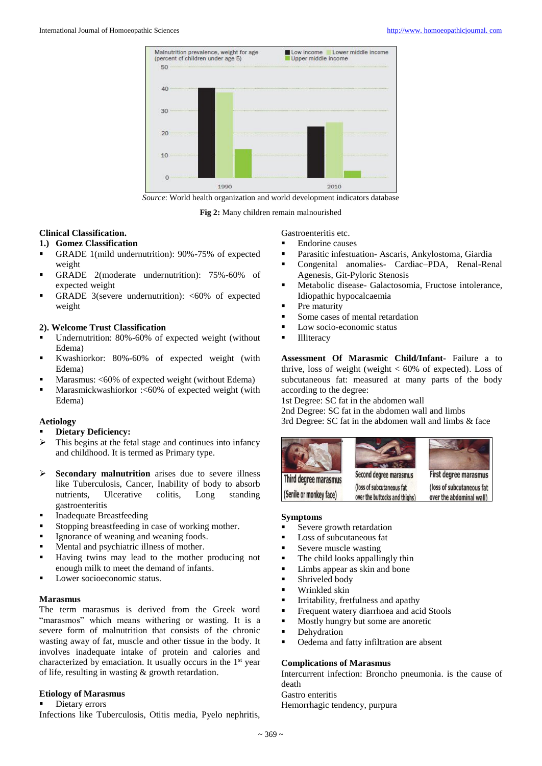

*Source*: World health organization and world development indicators database

**Fig 2:** Many children remain malnourished

#### **Clinical Classification.**

#### **1.) Gomez Classification**

- GRADE 1(mild undernutrition): 90%-75% of expected weight
- GRADE 2(moderate undernutrition): 75%-60% of expected weight
- GRADE 3(severe undernutrition):  $\langle 60\% \rangle$  of expected weight

#### **2). Welcome Trust Classification**

- Undernutrition: 80%-60% of expected weight (without Edema)
- Kwashiorkor: 80%-60% of expected weight (with Edema)
- **Marasmus: <60% of expected weight (without Edema)**
- **Marasmickwashiorkor :<60% of expected weight (with** Edema)

#### **Aetiology**

#### **Dietary Deficiency:**

- $\triangleright$  This begins at the fetal stage and continues into infancy and childhood. It is termed as Primary type.
- Secondary malnutrition arises due to severe illness like Tuberculosis, Cancer, Inability of body to absorb nutrients, Ulcerative colitis, Long standing gastroenteritis
- **Inadequate Breastfeeding**
- Stopping breastfeeding in case of working mother.
- Ignorance of weaning and weaning foods.
- **Mental and psychiatric illness of mother.**
- Having twins may lead to the mother producing not enough milk to meet the demand of infants.
- Lower socioeconomic status.

#### **Marasmus**

The term marasmus is derived from the Greek word "marasmos" which means withering or wasting. It is a severe form of malnutrition that consists of the chronic wasting away of fat, muscle and other tissue in the body. It involves inadequate intake of protein and calories and characterized by emaciation. It usually occurs in the 1st year of life, resulting in wasting & growth retardation.

#### **Etiology of Marasmus**

#### Dietary errors

Infections like Tuberculosis, Otitis media, Pyelo nephritis,

Gastroenteritis etc.

- Endorine causes
- Parasitic infestuation- Ascaris, Ankylostoma, Giardia
- Congenital anomalies- Cardiac–PDA, Renal-Renal Agenesis, Git-Pyloric Stenosis
- Metabolic disease- Galactosomia, Fructose intolerance, Idiopathic hypocalcaemia
- $\blacksquare$  Pre maturity
- Some cases of mental retardation
- Low socio-economic status
- **Illiteracy**

**Assessment Of Marasmic Child/Infant-** Failure a to thrive, loss of weight (weight  $< 60\%$  of expected). Loss of subcutaneous fat: measured at many parts of the body according to the degree:

1st Degree: SC fat in the abdomen wall

2nd Degree: SC fat in the abdomen wall and limbs 3rd Degree: SC fat in the abdomen wall and limbs & face



#### **Symptoms**

- Severe growth retardation
- Loss of subcutaneous fat
- Severe muscle wasting
- The child looks appallingly thin
- **Limbs appear as skin and bone**
- **Shriveled body**
- **Wrinkled skin**
- Irritability, fretfulness and apathy
- Frequent watery diarrhoea and acid Stools
- Mostly hungry but some are anoretic
- **•** Dehydration
- Oedema and fatty infiltration are absent

#### **Complications of Marasmus**

Intercurrent infection: Broncho pneumonia. is the cause of death

Gastro enteritis

Hemorrhagic tendency, purpura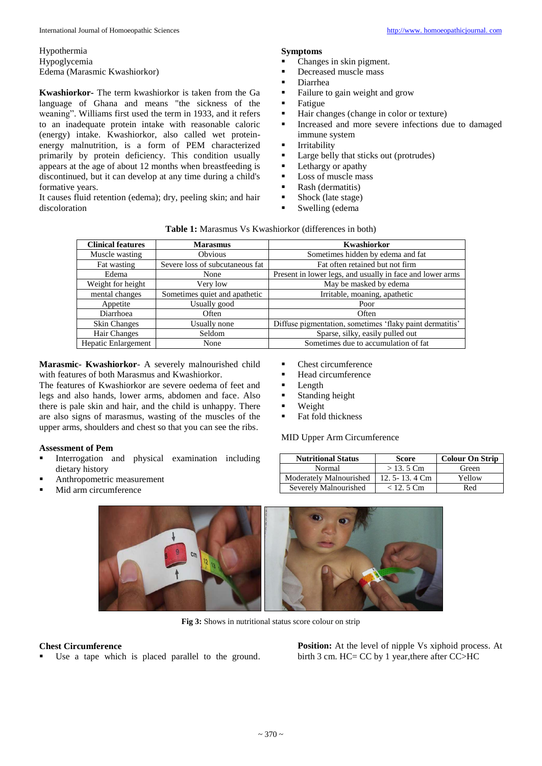Hypothermia Hypoglycemia Edema (Marasmic Kwashiorkor)

**Kwashiorkor-** The term kwashiorkor is taken from the Ga language of Ghana and means "the sickness of the weaning". Williams first used the term in 1933, and it refers to an inadequate protein intake with reasonable caloric (energy) intake. Kwashiorkor, also called wet proteinenergy malnutrition, is a form of PEM characterized primarily by protein deficiency. This condition usually appears at the age of about 12 months when breastfeeding is discontinued, but it can develop at any time during a child's formative years.

It causes fluid retention (edema); dry, peeling skin; and hair discoloration

#### **Symptoms**

- Changes in skin pigment.
- Decreased muscle mass
- Diarrhea
- Failure to gain weight and grow
- $\blacksquare$  Fatigue
- Hair changes (change in color or texture)<br>Increased and more severe infections du
- Increased and more severe infections due to damaged immune system
- **Irritability**
- Large belly that sticks out (protrudes)
- $\blacksquare$  Lethargy or apathy
- Loss of muscle mass
- **Rash (dermatitis)**
- Shock (late stage)
- Swelling (edema

| <b>Clinical features</b><br><b>Marasmus</b> |                                 | Kwashiorkor                                               |  |
|---------------------------------------------|---------------------------------|-----------------------------------------------------------|--|
| Muscle wasting                              | Obvious                         | Sometimes hidden by edema and fat                         |  |
| Fat wasting                                 | Severe loss of subcutaneous fat | Fat often retained but not firm                           |  |
| Edema<br>None                               |                                 | Present in lower legs, and usually in face and lower arms |  |
| Weight for height                           | Very low                        | May be masked by edema                                    |  |
| mental changes                              | Sometimes quiet and apathetic   | Irritable, moaning, apathetic                             |  |
| Appetite                                    | Usually good                    | Poor                                                      |  |
| Diarrhoea                                   | Often                           | Often                                                     |  |
| Skin Changes                                | Usually none                    | Diffuse pigmentation, sometimes 'flaky paint dermatitis'  |  |
| Hair Changes                                | Seldom                          | Sparse, silky, easily pulled out                          |  |
| Hepatic Enlargement                         | None                            | Sometimes due to accumulation of fat                      |  |

**Table 1:** Marasmus Vs Kwashiorkor (differences in both)

**Marasmic- Kwashiorkor**- A severely malnourished child with features of both Marasmus and Kwashiorkor.

The features of Kwashiorkor are severe oedema of feet and legs and also hands, lower arms, abdomen and face. Also there is pale skin and hair, and the child is unhappy. There are also signs of marasmus, wasting of the muscles of the upper arms, shoulders and chest so that you can see the ribs.

#### **Assessment of Pem**

- Interrogation and physical examination including dietary history
- Anthropometric measurement
- Mid arm circumference

| Chest circumference |
|---------------------|
|                     |

- Head circumference
- **Length**
- **Standing height**
- **Weight**
- Fat fold thickness

#### MID Upper Arm Circumference

| <b>Nutritional Status</b> | <b>Score</b>         | <b>Colour On Strip</b> |
|---------------------------|----------------------|------------------------|
| Normal                    | $> 13.5$ Cm          | Green                  |
| Moderately Malnourished   | 12.5 - 13.4 $\rm Cm$ | Yellow                 |
| Severely Malnourished     | $< 12.5$ Cm          | Red                    |



**Fig 3:** Shows in nutritional status score colour on strip

#### **Chest Circumference**

Use a tape which is placed parallel to the ground.

**Position:** At the level of nipple Vs xiphoid process. At birth 3 cm. HC= CC by 1 year,there after CC>HC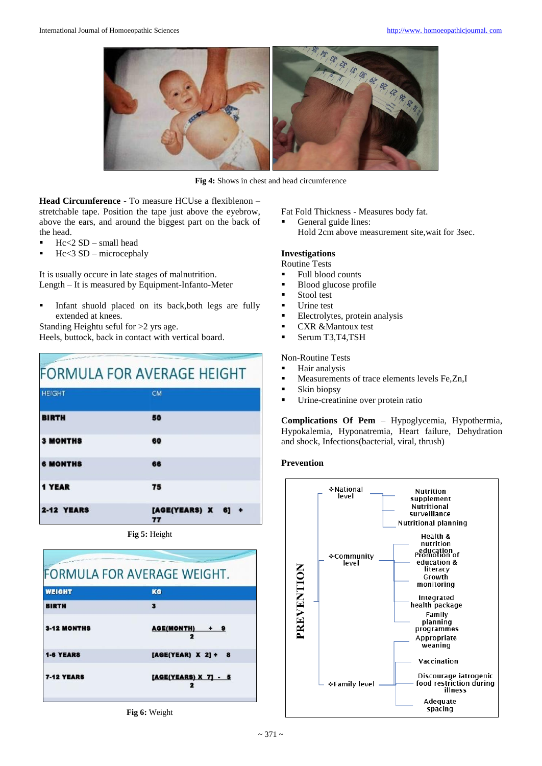

**Fig 4:** Shows in chest and head circumference

**Head Circumference** - To measure HCUse a flexiblenon – stretchable tape. Position the tape just above the eyebrow, above the ears, and around the biggest part on the back of the head.

- $Hc < 2 SD$  small head
- Hc<3 SD microcephaly

It is usually occure in late stages of malnutrition. Length – It is measured by Equipment-Infanto-Meter

 Infant shuold placed on its back,both legs are fully extended at knees.

Standing Heightu seful for >2 yrs age.

Heels, buttock, back in contact with vertical board.

### **FORMULA FOR AVERAGE HEIGHT HEIGHT CM BIRTH RO 3 MONTHS** 60 **6 MONTHS** 66 1 YEAR 75 2-12 YEARS  $[AGE(YEARS) X 6] +$

**Fig 5:** Height



**Fig 6:** Weight

Fat Fold Thickness - Measures body fat.

 General guide lines: Hold 2cm above measurement site,wait for 3sec.

#### **Investigations**

- Routine Tests
- Full blood counts
- Blood glucose profile
- **Stool test**
- Urine test
- Electrolytes, protein analysis
- **CXR &Mantoux test**
- Serum T3,T4,TSH

#### Non-Routine Tests

- **Hair analysis**
- Measurements of trace elements levels Fe,Zn,I
- **Skin biopsy**
- **Urine-creatinine over protein ratio**

**Complications Of Pem** – Hypoglycemia, Hypothermia, Hypokalemia, Hyponatremia, Heart failure, Dehydration and shock, Infections(bacterial, viral, thrush)

#### **Prevention**

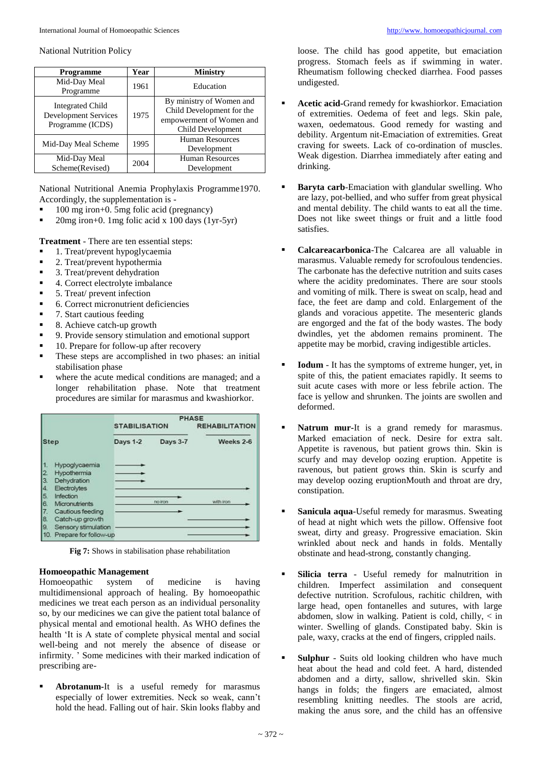#### National Nutrition Policy

| <b>Programme</b>                                                           | Year | <b>Ministry</b>                                                                                        |  |
|----------------------------------------------------------------------------|------|--------------------------------------------------------------------------------------------------------|--|
| Mid-Day Meal<br>Programme                                                  | 1961 | Education                                                                                              |  |
| <b>Integrated Child</b><br><b>Development Services</b><br>Programme (ICDS) | 1975 | By ministry of Women and<br>Child Development for the<br>empowerment of Women and<br>Child Development |  |
| Mid-Day Meal Scheme                                                        | 1995 | Human Resources<br>Development                                                                         |  |
| Mid-Day Meal<br>Scheme(Revised)                                            | 2004 | Human Resources<br>Development                                                                         |  |

National Nutritional Anemia Prophylaxis Programme1970. Accordingly, the supplementation is -

- 100 mg iron+0. 5mg folic acid (pregnancy)
- 20mg iron+0. 1mg folic acid x 100 days (1yr-5yr)

**Treatment** - There are ten essential steps:

- 1. Treat/prevent hypoglycaemia
- **2.** Treat/prevent hypothermia
- 3. Treat/prevent dehydration
- 4. Correct electrolyte imbalance
- 5. Treat/ prevent infection
- 6. Correct micronutrient deficiencies
- 7. Start cautious feeding
- 8. Achieve catch-up growth
- 9. Provide sensory stimulation and emotional support
- 10. Prepare for follow-up after recovery
- These steps are accomplished in two phases: an initial stabilisation phase
- where the acute medical conditions are managed; and a longer rehabilitation phase. Note that treatment procedures are similar for marasmus and kwashiorkor.

| <b>Step</b>                   |                                                                                                                                   | <b>PHASE</b><br><b>STABILISATION</b> |          | <b>REHABILITATION</b> |
|-------------------------------|-----------------------------------------------------------------------------------------------------------------------------------|--------------------------------------|----------|-----------------------|
|                               |                                                                                                                                   | <b>Days 1-2</b>                      | Days 3-7 | Weeks 2-6             |
| 13.<br>4.<br>15.<br>6.<br>18. | Hypoglycaemia<br>Hypothermia<br>Dehydration<br>Electrolytes<br>Infection<br>Micronutrients<br>Cautious feeding<br>Catch-up growth |                                      | no iron  | with iron             |
| 19.<br>10.                    | Sensory stimulation<br>Prepare for follow-up                                                                                      |                                      |          |                       |

**Fig 7:** Shows in stabilisation phase rehabilitation

**Homoeopathic Management**  Homoeopathic system of medicine is having multidimensional approach of healing. By homoeopathic medicines we treat each person as an individual personality so, by our medicines we can give the patient total balance of physical mental and emotional health. As WHO defines the health 'It is A state of complete physical mental and social well-being and not merely the absence of disease or infirmity. ' Some medicines with their marked indication of prescribing are-

 **Abrotanum-**It is a useful remedy for marasmus especially of lower extremities. Neck so weak, cann't hold the head. Falling out of hair. Skin looks flabby and

loose. The child has good appetite, but emaciation progress. Stomach feels as if swimming in water. Rheumatism following checked diarrhea. Food passes undigested.

- **Acetic acid-**Grand remedy for kwashiorkor. Emaciation of extremities. Oedema of feet and legs. Skin pale, waxen, oedematous. Good remedy for wasting and debility. Argentum nit-Emaciation of extremities. Great craving for sweets. Lack of co-ordination of muscles. Weak digestion. Diarrhea immediately after eating and drinking.
- **Baryta carb**-Emaciation with glandular swelling. Who are lazy, pot-bellied, and who suffer from great physical and mental debility. The child wants to eat all the time. Does not like sweet things or fruit and a little food satisfies.
- **Calcareacarbonica**-The Calcarea are all valuable in marasmus. Valuable remedy for scrofoulous tendencies. The carbonate has the defective nutrition and suits cases where the acidity predominates. There are sour stools and vomiting of milk. There is sweat on scalp, head and face, the feet are damp and cold. Enlargement of the glands and voracious appetite. The mesenteric glands are engorged and the fat of the body wastes. The body dwindles, yet the abdomen remains prominent. The appetite may be morbid, craving indigestible articles.
- **Iodum** It has the symptoms of extreme hunger, yet, in spite of this, the patient emaciates rapidly. It seems to suit acute cases with more or less febrile action. The face is yellow and shrunken. The joints are swollen and deformed.
- **Natrum mur-**It is a grand remedy for marasmus. Marked emaciation of neck. Desire for extra salt. Appetite is ravenous, but patient grows thin. Skin is scurfy and may develop oozing eruption. Appetite is ravenous, but patient grows thin. Skin is scurfy and may develop oozing eruptionMouth and throat are dry, constipation.
- **Sanicula aqua**-Useful remedy for marasmus. Sweating of head at night which wets the pillow. Offensive foot sweat, dirty and greasy. Progressive emaciation. Skin wrinkled about neck and hands in folds. Mentally obstinate and head-strong, constantly changing.
- **Silicia terra** Useful remedy for malnutrition in children. Imperfect assimilation and consequent defective nutrition. Scrofulous, rachitic children, with large head, open fontanelles and sutures, with large abdomen, slow in walking. Patient is cold, chilly, < in winter. Swelling of glands. Constipated baby. Skin is pale, waxy, cracks at the end of fingers, crippled nails.
- **Sulphur** Suits old looking children who have much heat about the head and cold feet. A hard, distended abdomen and a dirty, sallow, shrivelled skin. Skin hangs in folds; the fingers are emaciated, almost resembling knitting needles. The stools are acrid, making the anus sore, and the child has an offensive